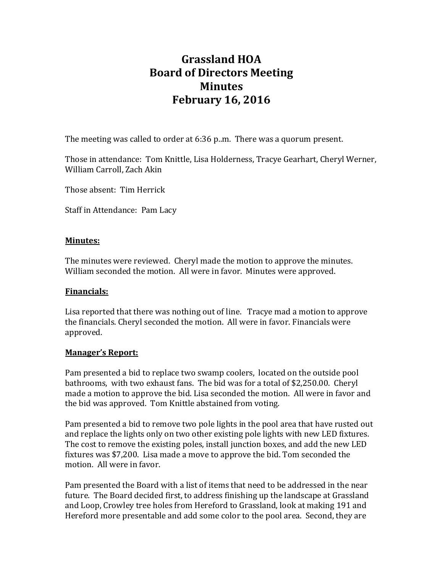# **Grassland HOA Board of Directors Meeting Minutes February 16, 2016**

The meeting was called to order at 6:36 p..m. There was a quorum present.

Those in attendance: Tom Knittle, Lisa Holderness, Tracye Gearhart, Cheryl Werner, William Carroll, Zach Akin

Those absent: Tim Herrick

Staff in Attendance: Pam Lacy

## **Minutes:**

The minutes were reviewed. Cheryl made the motion to approve the minutes. William seconded the motion. All were in favor. Minutes were approved.

# **Financials:**

Lisa reported that there was nothing out of line. Tracye mad a motion to approve the financials. Cheryl seconded the motion. All were in favor. Financials were approved.

#### **Manager's Report:**

Pam presented a bid to replace two swamp coolers, located on the outside pool bathrooms, with two exhaust fans. The bid was for a total of \$2,250.00. Cheryl made a motion to approve the bid. Lisa seconded the motion. All were in favor and the bid was approved. Tom Knittle abstained from voting.

Pam presented a bid to remove two pole lights in the pool area that have rusted out and replace the lights only on two other existing pole lights with new LED fixtures. The cost to remove the existing poles, install junction boxes, and add the new LED fixtures was \$7,200. Lisa made a move to approve the bid. Tom seconded the motion. All were in favor.

Pam presented the Board with a list of items that need to be addressed in the near future. The Board decided first, to address finishing up the landscape at Grassland and Loop, Crowley tree holes from Hereford to Grassland, look at making 191 and Hereford more presentable and add some color to the pool area. Second, they are